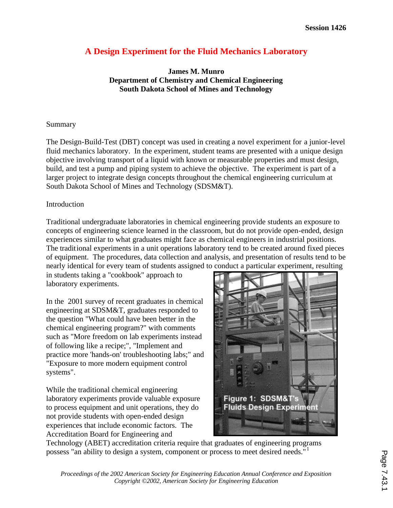# **A Design Experiment for the Fluid Mechanics Laboratory**

**James M. Munro Department of Chemistry and Chemical Engineering South Dakota School of Mines and Technology**

### Summary

The Design-Build-Test (DBT) concept was used in creating a novel experiment for a junior-level fluid mechanics laboratory. In the experiment, student teams are presented with a unique design objective involving transport of a liquid with known or measurable properties and must design, build, and test a pump and piping system to achieve the objective. The experiment is part of a larger project to integrate design concepts throughout the chemical engineering curriculum at South Dakota School of Mines and Technology (SDSM&T).

#### **Introduction**

Traditional undergraduate laboratories in chemical engineering provide students an exposure to concepts of engineering science learned in the classroom, but do not provide open-ended, design experiences similar to what graduates might face as chemical engineers in industrial positions. The traditional experiments in a unit operations laboratory tend to be created around fixed pieces of equipment. The procedures, data collection and analysis, and presentation of results tend to be nearly identical for every team of students assigned to conduct a particular experiment, resulting

in students taking a "cookbook" approach to laboratory experiments.

In the 2001 survey of recent graduates in chemical engineering at SDSM&T, graduates responded to the question "What could have been better in the chemical engineering program?" with comments such as "More freedom on lab experiments instead of following like a recipe;", "Implement and practice more 'hands-on' troubleshooting labs;" and "Exposure to more modern equipment control systems".

While the traditional chemical engineering laboratory experiments provide valuable exposure to process equipment and unit operations, they do not provide students with open-ended design experiences that include economic factors. The Accreditation Board for Engineering and



Technology (ABET) accreditation criteria require that graduates of engineering programs possess "an ability to design a system, component or process to meet desired needs."<sup>1</sup>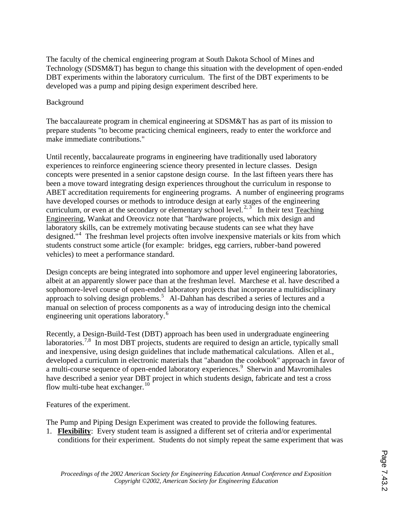The faculty of the chemical engineering program at South Dakota School of Mines and Technology (SDSM&T) has begun to change this situation with the development of open-ended DBT experiments within the laboratory curriculum. The first of the DBT experiments to be developed was a pump and piping design experiment described here.

### Background

The baccalaureate program in chemical engineering at SDSM&T has as part of its mission to prepare students "to become practicing chemical engineers, ready to enter the workforce and make immediate contributions."

Until recently, baccalaureate programs in engineering have traditionally used laboratory experiences to reinforce engineering science theory presented in lecture classes. Design concepts were presented in a senior capstone design course. In the last fifteen years there has been a move toward integrating design experiences throughout the curriculum in response to ABET accreditation requirements for engineering programs. A number of engineering programs have developed courses or methods to introduce design at early stages of the engineering curriculum, or even at the secondary or elementary school level.<sup>2, 3</sup> In their text Teaching Engineering, Wankat and Oreovicz note that "hardware projects, which mix design and laboratory skills, can be extremely motivating because students can see what they have designed."<sup>4</sup> The freshman level projects often involve inexpensive materials or kits from which students construct some article (for example: bridges, egg carriers, rubber-band powered vehicles) to meet a performance standard.

Design concepts are being integrated into sophomore and upper level engineering laboratories, albeit at an apparently slower pace than at the freshman level. Marchese et al. have described a sophomore-level course of open-ended laboratory projects that incorporate a multidisciplinary approach to solving design problems.<sup>5</sup> Al-Dahhan has described a series of lectures and a manual on selection of process components as a way of introducing design into the chemical engineering unit operations laboratory.<sup>6</sup>

Recently, a Design-Build-Test (DBT) approach has been used in undergraduate engineering laboratories.<sup>7,8</sup> In most DBT projects, students are required to design an article, typically small and inexpensive, using design guidelines that include mathematical calculations. Allen et al., developed a curriculum in electronic materials that "abandon the cookbook" approach in favor of a multi-course sequence of open-ended laboratory experiences.<sup>9</sup> Sherwin and Mavromihales have described a senior year DBT project in which students design, fabricate and test a cross flow multi-tube heat exchanger. $^{10}$ 

Features of the experiment.

The Pump and Piping Design Experiment was created to provide the following features.

1. **Flexibility**: Every student team is assigned a different set of criteria and/or experimental conditions for their experiment. Students do not simply repeat the same experiment that was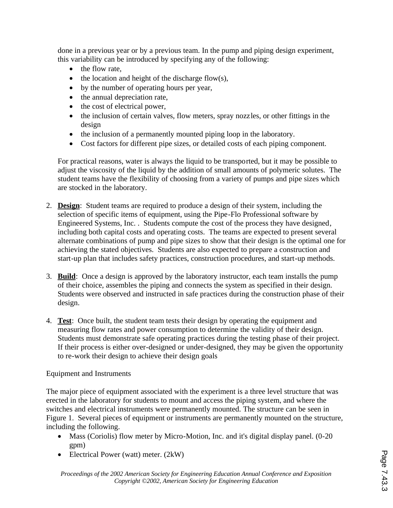done in a previous year or by a previous team. In the pump and piping design experiment, this variability can be introduced by specifying any of the following:

- the flow rate,
- $\bullet$  the location and height of the discharge flow(s),
- · by the number of operating hours per year,
- the annual depreciation rate,
- the cost of electrical power,
- the inclusion of certain valves, flow meters, spray nozzles, or other fittings in the design
- the inclusion of a permanently mounted piping loop in the laboratory.
- · Cost factors for different pipe sizes, or detailed costs of each piping component.

For practical reasons, water is always the liquid to be transported, but it may be possible to adjust the viscosity of the liquid by the addition of small amounts of polymeric solutes. The student teams have the flexibility of choosing from a variety of pumps and pipe sizes which are stocked in the laboratory.

- 2. **Design**: Student teams are required to produce a design of their system, including the selection of specific items of equipment, using the Pipe-Flo Professional software by Engineered Systems, Inc. . Students compute the cost of the process they have designed, including both capital costs and operating costs. The teams are expected to present several alternate combinations of pump and pipe sizes to show that their design is the optimal one for achieving the stated objectives. Students are also expected to prepare a construction and start-up plan that includes safety practices, construction procedures, and start-up methods.
- 3. **Build**: Once a design is approved by the laboratory instructor, each team installs the pump of their choice, assembles the piping and connects the system as specified in their design. Students were observed and instructed in safe practices during the construction phase of their design.
- 4. **Test**: Once built, the student team tests their design by operating the equipment and measuring flow rates and power consumption to determine the validity of their design. Students must demonstrate safe operating practices during the testing phase of their project. If their process is either over-designed or under-designed, they may be given the opportunity to re-work their design to achieve their design goals

### Equipment and Instruments

The major piece of equipment associated with the experiment is a three level structure that was erected in the laboratory for students to mount and access the piping system, and where the switches and electrical instruments were permanently mounted. The structure can be seen in Figure 1. Several pieces of equipment or instruments are permanently mounted on the structure, including the following.

- Mass (Coriolis) flow meter by Micro-Motion, Inc. and it's digital display panel. (0-20) gpm)
- Electrical Power (watt) meter. (2kW)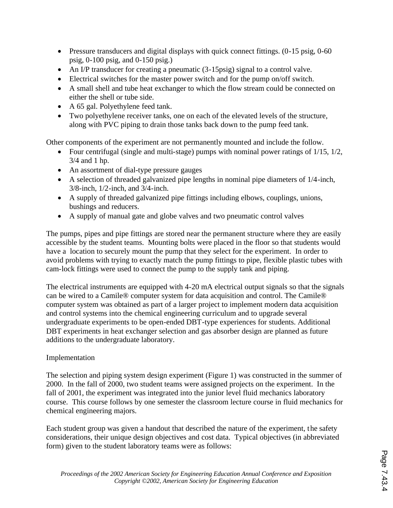- Pressure transducers and digital displays with quick connect fittings.  $(0-15 \text{ psig}, 0-60 \text{ s}$ psig, 0-100 psig, and 0-150 psig.)
- An I/P transducer for creating a pneumatic (3-15psig) signal to a control valve.
- · Electrical switches for the master power switch and for the pump on/off switch.
- · A small shell and tube heat exchanger to which the flow stream could be connected on either the shell or tube side.
- A 65 gal. Polyethylene feed tank.
- · Two polyethylene receiver tanks, one on each of the elevated levels of the structure, along with PVC piping to drain those tanks back down to the pump feed tank.

Other components of the experiment are not permanently mounted and include the follow.

- Four centrifugal (single and multi-stage) pumps with nominal power ratings of  $1/15$ ,  $1/2$ , 3/4 and 1 hp.
- An assortment of dial-type pressure gauges
- · A selection of threaded galvanized pipe lengths in nominal pipe diameters of 1/4-inch, 3/8-inch, 1/2-inch, and 3/4-inch.
- · A supply of threaded galvanized pipe fittings including elbows, couplings, unions, bushings and reducers.
- · A supply of manual gate and globe valves and two pneumatic control valves

The pumps, pipes and pipe fittings are stored near the permanent structure where they are easily accessible by the student teams. Mounting bolts were placed in the floor so that students would have a location to securely mount the pump that they select for the experiment. In order to avoid problems with trying to exactly match the pump fittings to pipe, flexible plastic tubes with cam-lock fittings were used to connect the pump to the supply tank and piping.

The electrical instruments are equipped with 4-20 mA electrical output signals so that the signals can be wired to a Camile® computer system for data acquisition and control. The Camile® computer system was obtained as part of a larger project to implement modern data acquisition and control systems into the chemical engineering curriculum and to upgrade several undergraduate experiments to be open-ended DBT-type experiences for students. Additional DBT experiments in heat exchanger selection and gas absorber design are planned as future additions to the undergraduate laboratory.

## Implementation

The selection and piping system design experiment (Figure 1) was constructed in the summer of 2000. In the fall of 2000, two student teams were assigned projects on the experiment. In the fall of 2001, the experiment was integrated into the junior level fluid mechanics laboratory course. This course follows by one semester the classroom lecture course in fluid mechanics for chemical engineering majors.

Each student group was given a handout that described the nature of the experiment, the safety considerations, their unique design objectives and cost data. Typical objectives (in abbreviated form) given to the student laboratory teams were as follows: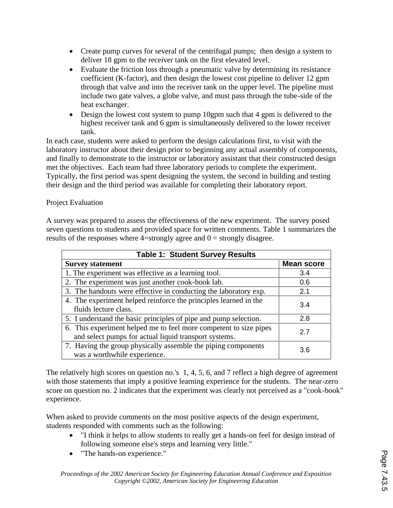- Create pump curves for several of the centrifugal pumps; then design a system to deliver 18 gpm to the receiver tank on the first elevated level.
- Evaluate the friction loss through a pneumatic valve by determining its resistance coefficient (K-factor), and then design the lowest cost pipeline to deliver 12 gpm through that valve and into the receiver tank on the upper level. The pipeline must include two gate valves, a globe valve, and must pass through the tube-side of the heat exchanger.
- Design the lowest cost system to pump 10gpm such that 4 gpm is delivered to the highest receiver tank and 6 gpm is simultaneously delivered to the lower receiver tank.

In each case, students were asked to perform the design calculations first, to visit with the laboratory instructor about their design prior to beginning any actual assembly of components, and finally to demonstrate to the instructor or laboratory assistant that their constructed design met the objectives. Each team had three laboratory periods to complete the experiment. Typically, the first period was spent designing the system, the second in building and testing their design and the third period was available for completing their laboratory report.

### Project Evaluation

A survey was prepared to assess the effectiveness of the new experiment. The survey posed seven questions to students and provided space for written comments. Table 1 summarizes the results of the responses where  $4=$ strongly agree and  $0=$  strongly disagree.

| <b>Table 1: Student Survey Results</b>                                                                                     |                   |
|----------------------------------------------------------------------------------------------------------------------------|-------------------|
| <b>Survey statement</b>                                                                                                    | <b>Mean score</b> |
| 1. The experiment was effective as a learning tool.                                                                        | 3.4               |
| 2. The experiment was just another cook-book lab.                                                                          | 0.6               |
| 3. The handouts were effective in conducting the laboratory exp.                                                           | 2.1               |
| 4. The experiment helped reinforce the principles learned in the<br>fluids lecture class.                                  | 3.4               |
| 5. I understand the basic principles of pipe and pump selection.                                                           | 2.8               |
| 6. This experiment helped me to feel more competent to size pipes<br>and select pumps for actual liquid transport systems. | 2.7               |
| 7. Having the group physically assemble the piping components<br>was a worthwhile experience.                              | 3.6               |

The relatively high scores on question no.'s 1, 4, 5, 6, and 7 reflect a high degree of agreement with those statements that imply a positive learning experience for the students. The near-zero score on question no. 2 indicates that the experiment was clearly not perceived as a "cook-book" experience.

When asked to provide comments on the most positive aspects of the design experiment, students responded with comments such as the following:

- · "I think it helps to allow students to really get a hands-on feel for design instead of following someone else's steps and learning very little."
- "The hands-on experience."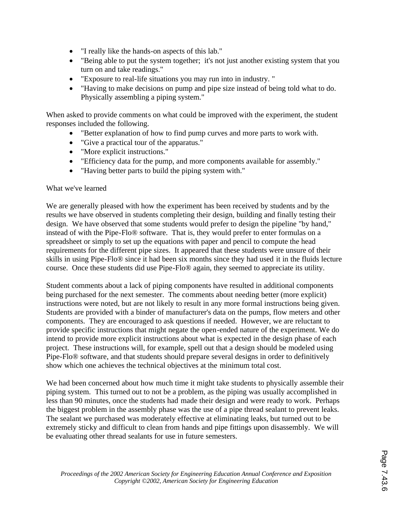- · "I really like the hands-on aspects of this lab."
- "Being able to put the system together; it's not just another existing system that you turn on and take readings."
- · "Exposure to real-life situations you may run into in industry. "
- · "Having to make decisions on pump and pipe size instead of being told what to do. Physically assembling a piping system."

When asked to provide comments on what could be improved with the experiment, the student responses included the following.

- · "Better explanation of how to find pump curves and more parts to work with.
- · "Give a practical tour of the apparatus."
- · "More explicit instructions."
- · "Efficiency data for the pump, and more components available for assembly."
- · "Having better parts to build the piping system with."

### What we've learned

We are generally pleased with how the experiment has been received by students and by the results we have observed in students completing their design, building and finally testing their design. We have observed that some students would prefer to design the pipeline "by hand," instead of with the Pipe-Flo® software. That is, they would prefer to enter formulas on a spreadsheet or simply to set up the equations with paper and pencil to compute the head requirements for the different pipe sizes. It appeared that these students were unsure of their skills in using Pipe-Flo® since it had been six months since they had used it in the fluids lecture course. Once these students did use Pipe-Flo® again, they seemed to appreciate its utility.

Student comments about a lack of piping components have resulted in additional components being purchased for the next semester. The comments about needing better (more explicit) instructions were noted, but are not likely to result in any more formal instructions being given. Students are provided with a binder of manufacturer's data on the pumps, flow meters and other components. They are encouraged to ask questions if needed. However, we are reluctant to provide specific instructions that might negate the open-ended nature of the experiment. We do intend to provide more explicit instructions about what is expected in the design phase of each project. These instructions will, for example, spell out that a design should be modeled using Pipe-Flo® software, and that students should prepare several designs in order to definitively show which one achieves the technical objectives at the minimum total cost.

We had been concerned about how much time it might take students to physically assemble their piping system. This turned out to not be a problem, as the piping was usually accomplished in less than 90 minutes, once the students had made their design and were ready to work. Perhaps the biggest problem in the assembly phase was the use of a pipe thread sealant to prevent leaks. The sealant we purchased was moderately effective at eliminating leaks, but turned out to be extremely sticky and difficult to clean from hands and pipe fittings upon disassembly. We will be evaluating other thread sealants for use in future semesters.